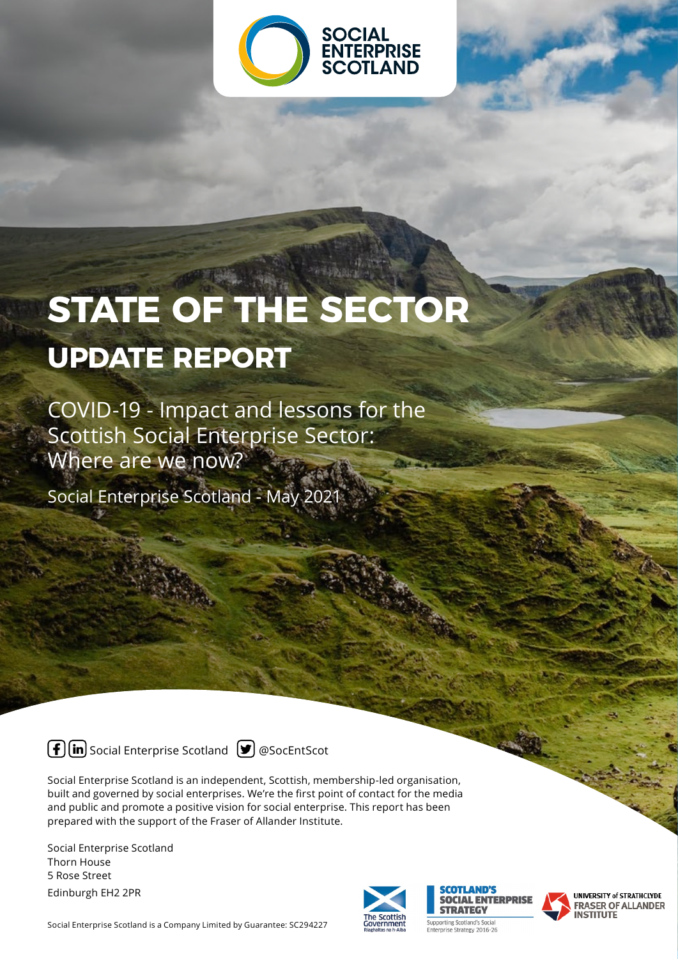

# **STATE OF THE SECTOR UPDATE REPORT**

COVID-19 - Impact and lessons for the Scottish Social Enterprise Sector: Where are we now?

Social Enterprise Scotland - May 2021

 $\left(\frac{f}{f}\right)$  in Social Enterprise Scotland  $\left( \frac{g}{g} \right)$  @SocEntScot

Social Enterprise Scotland is an independent, Scottish, membership-led organisation, built and governed by social enterprises. We're the first point of contact for the media and public and promote a positive vision for social enterprise. This report has been prepared with the support of the Fraser of Allander Institute.

Social Enterprise Scotland Thorn House 5 Rose Street Edinburgh EH2 2PR







UNIVERSITY of STRATHCLYDE **FRASER OF ALLANDER INSTITUTE**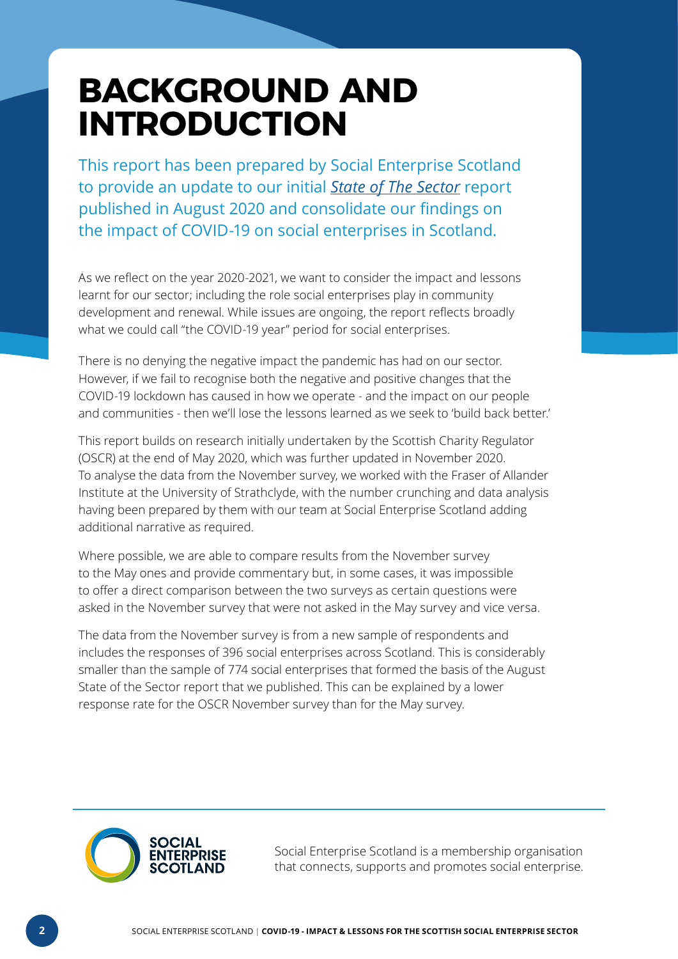### **BACKGROUND AND INTRODUCTION**

This report has been prepared by Social Enterprise Scotland to provide an update to our initial *[State of The Sector](https://socialenterprise.scot/state-sector-report-covid19-impact-social-enterprise-scotland/)* report published in August 2020 and consolidate our findings on the impact of COVID-19 on social enterprises in Scotland.

As we reflect on the year 2020-2021, we want to consider the impact and lessons learnt for our sector; including the role social enterprises play in community development and renewal. While issues are ongoing, the report reflects broadly what we could call "the COVID-19 year" period for social enterprises.

There is no denying the negative impact the pandemic has had on our sector. However, if we fail to recognise both the negative and positive changes that the COVID-19 lockdown has caused in how we operate - and the impact on our people and communities - then we'll lose the lessons learned as we seek to 'build back better.'

This report builds on research initially undertaken by the Scottish Charity Regulator (OSCR) at the end of May 2020, which was further updated in November 2020. To analyse the data from the November survey, we worked with the Fraser of Allander Institute at the University of Strathclyde, with the number crunching and data analysis having been prepared by them with our team at Social Enterprise Scotland adding additional narrative as required.

Where possible, we are able to compare results from the November survey to the May ones and provide commentary but, in some cases, it was impossible to offer a direct comparison between the two surveys as certain questions were asked in the November survey that were not asked in the May survey and vice versa.

The data from the November survey is from a new sample of respondents and includes the responses of 396 social enterprises across Scotland. This is considerably smaller than the sample of 774 social enterprises that formed the basis of the August State of the Sector report that we published. This can be explained by a lower response rate for the OSCR November survey than for the May survey.



Social Enterprise Scotland is a membership organisation that connects, supports and promotes social enterprise.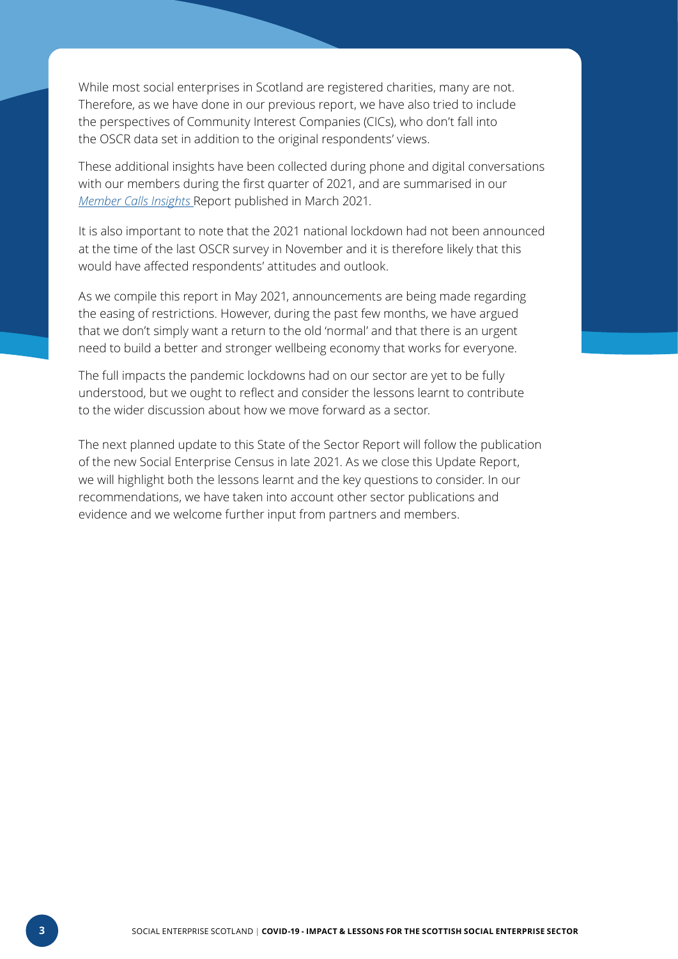While most social enterprises in Scotland are registered charities, many are not. Therefore, as we have done in our previous report, we have also tried to include the perspectives of Community Interest Companies (CICs), who don't fall into the OSCR data set in addition to the original respondents' views.

These additional insights have been collected during phone and digital conversations with our members during the first quarter of 2021, and are summarised in our *[Member Calls Insights](https://socialenterprise.scot/one-year-later-for-scotlands-social-enterprises/)* Report published in March 2021.

It is also important to note that the 2021 national lockdown had not been announced at the time of the last OSCR survey in November and it is therefore likely that this would have affected respondents' attitudes and outlook.

As we compile this report in May 2021, announcements are being made regarding the easing of restrictions. However, during the past few months, we have argued that we don't simply want a return to the old 'normal' and that there is an urgent need to build a better and stronger wellbeing economy that works for everyone.

The full impacts the pandemic lockdowns had on our sector are yet to be fully understood, but we ought to reflect and consider the lessons learnt to contribute to the wider discussion about how we move forward as a sector.

The next planned update to this State of the Sector Report will follow the publication of the new Social Enterprise Census in late 2021. As we close this Update Report, we will highlight both the lessons learnt and the key questions to consider. In our recommendations, we have taken into account other sector publications and evidence and we welcome further input from partners and members.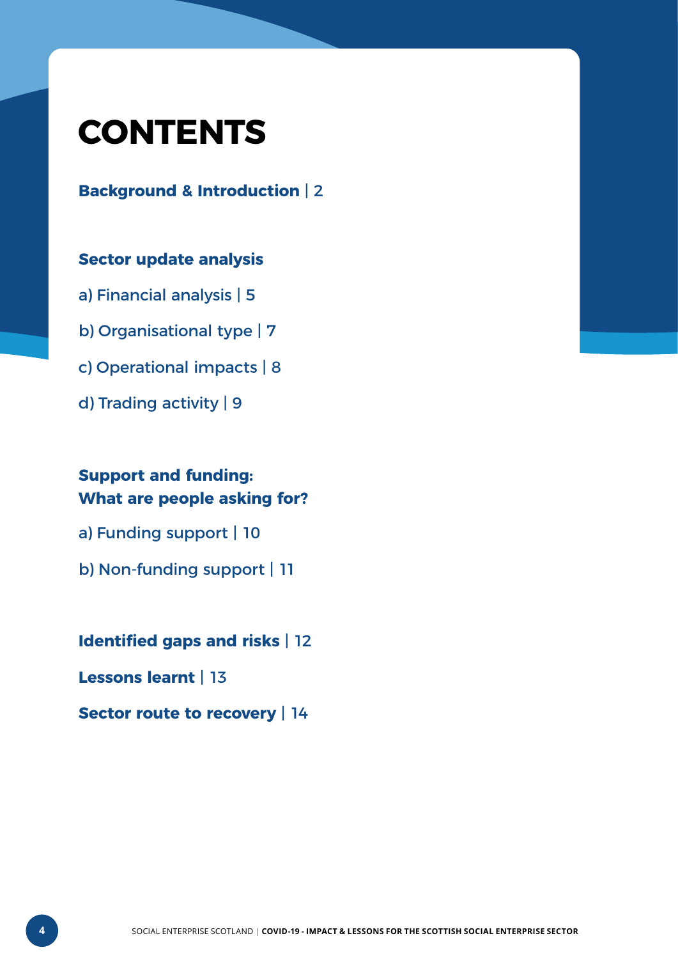## **CONTENTS**

### **Background & Introduction** | 2

### **Sector update analysis**

- a) Financial analysis | 5
- b) Organisational type | 7
- c) Operational impacts | 8
- d) Trading activity | 9

### **Support and funding: What are people asking for?**

- a) Funding support | 10
- b) Non-funding support | 11

**Identified gaps and risks** | 12

**Lessons learnt** | 13

**Sector route to recovery** | 14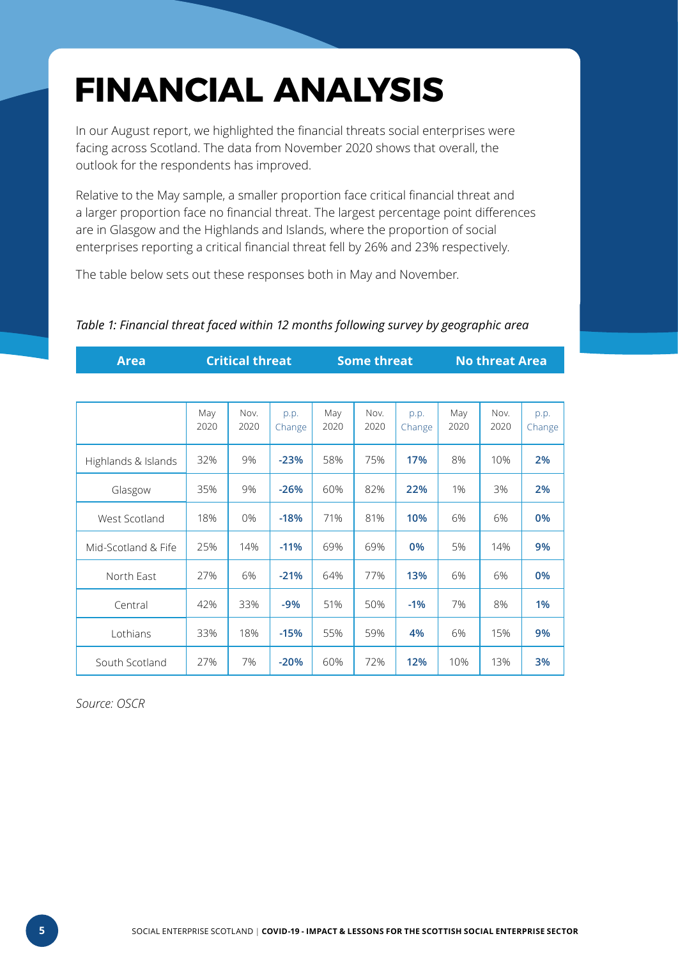## **FINANCIAL ANALYSIS**

In our August report, we highlighted the financial threats social enterprises were facing across Scotland. The data from November 2020 shows that overall, the outlook for the respondents has improved.

Relative to the May sample, a smaller proportion face critical financial threat and a larger proportion face no financial threat. The largest percentage point differences are in Glasgow and the Highlands and Islands, where the proportion of social enterprises reporting a critical financial threat fell by 26% and 23% respectively.

The table below sets out these responses both in May and November.

| <b>Area</b>         | <b>Critical threat</b> |              | <b>Some threat</b> |             |              | <b>No threat Area</b> |             |              |                |
|---------------------|------------------------|--------------|--------------------|-------------|--------------|-----------------------|-------------|--------------|----------------|
|                     |                        |              |                    |             |              |                       |             |              |                |
|                     | May<br>2020            | Nov.<br>2020 | p.p.<br>Change     | May<br>2020 | Nov.<br>2020 | p.p.<br>Change        | May<br>2020 | Nov.<br>2020 | p.p.<br>Change |
| Highlands & Islands | 32%                    | 9%           | $-23%$             | 58%         | 75%          | 17%                   | 8%          | 10%          | 2%             |
| Glasgow             | 35%                    | 9%           | $-26%$             | 60%         | 82%          | 22%                   | 1%          | 3%           | 2%             |
| West Scotland       | 18%                    | 0%           | $-18%$             | 71%         | 81%          | 10%                   | 6%          | 6%           | 0%             |
| Mid-Scotland & Fife | 25%                    | 14%          | $-11%$             | 69%         | 69%          | 0%                    | 5%          | 14%          | 9%             |
| North East          | 27%                    | 6%           | $-21%$             | 64%         | 77%          | 13%                   | 6%          | 6%           | 0%             |
| Central             | 42%                    | 33%          | $-9%$              | 51%         | 50%          | $-1%$                 | 7%          | 8%           | 1%             |
| Lothians            | 33%                    | 18%          | $-15%$             | 55%         | 59%          | 4%                    | 6%          | 15%          | 9%             |
| South Scotland      | 27%                    | 7%           | $-20%$             | 60%         | 72%          | 12%                   | 10%         | 13%          | 3%             |

#### *Table 1: Financial threat faced within 12 months following survey by geographic area*

*Source: OSCR*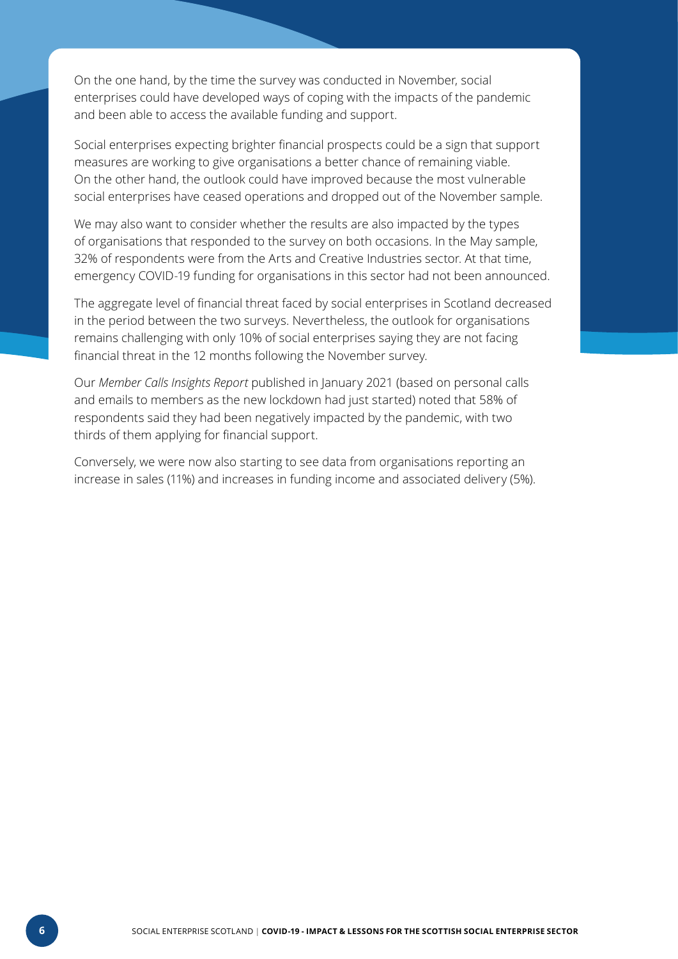On the one hand, by the time the survey was conducted in November, social enterprises could have developed ways of coping with the impacts of the pandemic and been able to access the available funding and support.

Social enterprises expecting brighter financial prospects could be a sign that support measures are working to give organisations a better chance of remaining viable. On the other hand, the outlook could have improved because the most vulnerable social enterprises have ceased operations and dropped out of the November sample.

We may also want to consider whether the results are also impacted by the types of organisations that responded to the survey on both occasions. In the May sample, 32% of respondents were from the Arts and Creative Industries sector. At that time, emergency COVID-19 funding for organisations in this sector had not been announced.

The aggregate level of financial threat faced by social enterprises in Scotland decreased in the period between the two surveys. Nevertheless, the outlook for organisations remains challenging with only 10% of social enterprises saying they are not facing financial threat in the 12 months following the November survey.

Our *Member Calls Insights Report* published in January 2021 (based on personal calls and emails to members as the new lockdown had just started) noted that 58% of respondents said they had been negatively impacted by the pandemic, with two thirds of them applying for financial support.

Conversely, we were now also starting to see data from organisations reporting an increase in sales (11%) and increases in funding income and associated delivery (5%).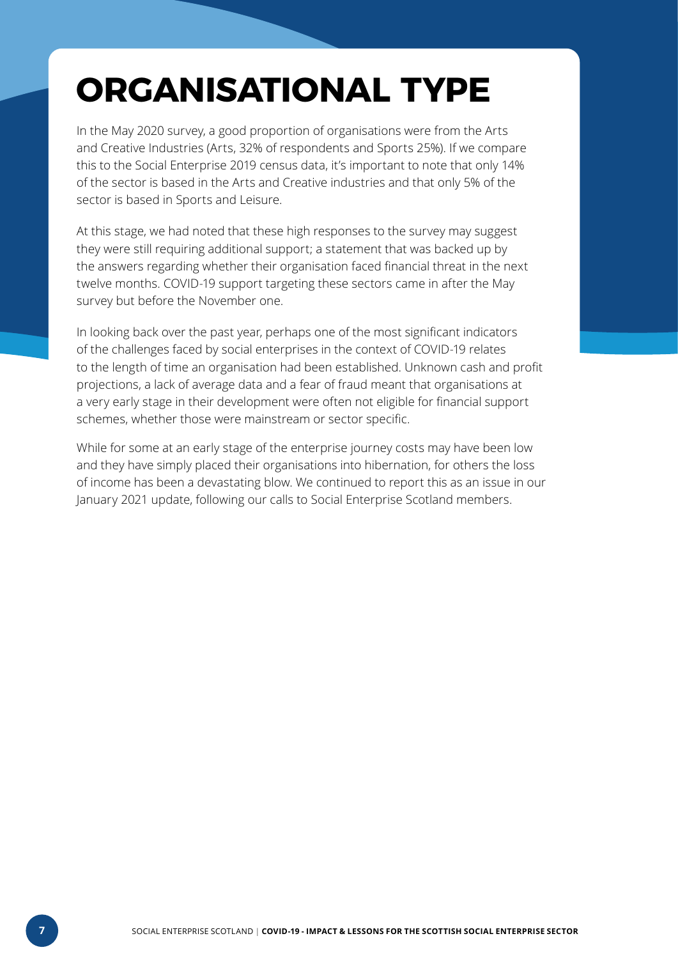## **ORGANISATIONAL TYPE**

In the May 2020 survey, a good proportion of organisations were from the Arts and Creative Industries (Arts, 32% of respondents and Sports 25%). If we compare this to the Social Enterprise 2019 census data, it's important to note that only 14% of the sector is based in the Arts and Creative industries and that only 5% of the sector is based in Sports and Leisure.

At this stage, we had noted that these high responses to the survey may suggest they were still requiring additional support; a statement that was backed up by the answers regarding whether their organisation faced financial threat in the next twelve months. COVID-19 support targeting these sectors came in after the May survey but before the November one.

In looking back over the past year, perhaps one of the most significant indicators of the challenges faced by social enterprises in the context of COVID-19 relates to the length of time an organisation had been established. Unknown cash and profit projections, a lack of average data and a fear of fraud meant that organisations at a very early stage in their development were often not eligible for financial support schemes, whether those were mainstream or sector specific.

While for some at an early stage of the enterprise journey costs may have been low and they have simply placed their organisations into hibernation, for others the loss of income has been a devastating blow. We continued to report this as an issue in our January 2021 update, following our calls to Social Enterprise Scotland members.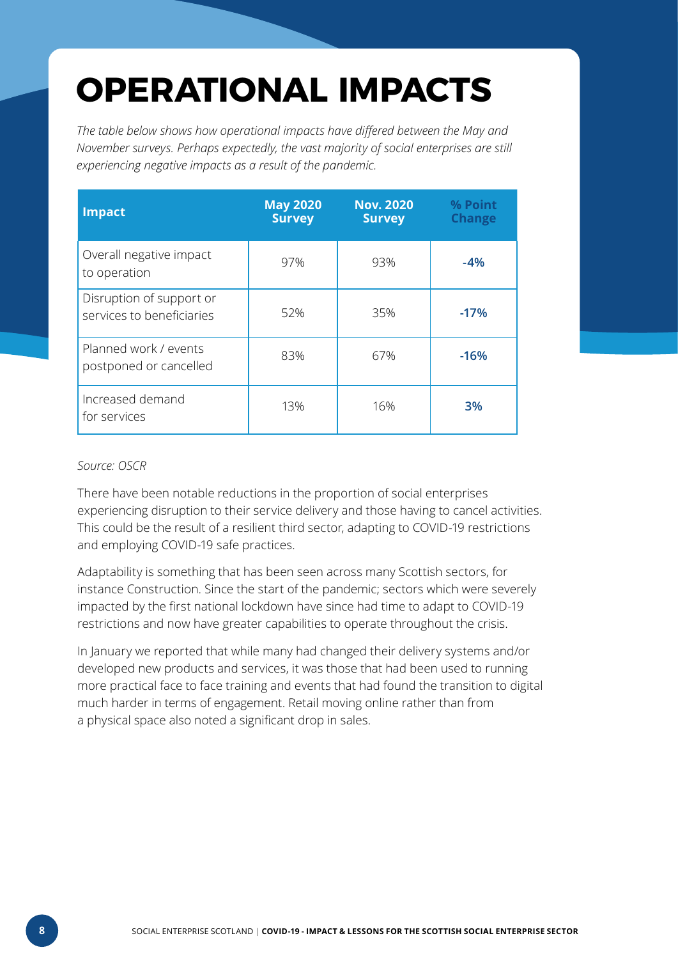## **OPERATIONAL IMPACTS**

*The table below shows how operational impacts have differed between the May and November surveys. Perhaps expectedly, the vast majority of social enterprises are still experiencing negative impacts as a result of the pandemic.*

| <b>Impact</b>                                         | <b>May 2020</b><br><b>Survey</b> | <b>Nov. 2020</b><br><b>Survey</b> | % Point<br><b>Change</b> |
|-------------------------------------------------------|----------------------------------|-----------------------------------|--------------------------|
| Overall negative impact<br>to operation               | 97%                              | 93%                               | $-4%$                    |
| Disruption of support or<br>services to beneficiaries | 52%                              | 35%                               | $-17%$                   |
| Planned work / events<br>postponed or cancelled       | 83%                              | 67%                               | $-16%$                   |
| Increased demand<br>for services                      | 13%                              | 16%                               | 3%                       |

#### *Source: OSCR*

There have been notable reductions in the proportion of social enterprises experiencing disruption to their service delivery and those having to cancel activities. This could be the result of a resilient third sector, adapting to COVID-19 restrictions and employing COVID-19 safe practices.

Adaptability is something that has been seen across many Scottish sectors, for instance Construction. Since the start of the pandemic; sectors which were severely impacted by the first national lockdown have since had time to adapt to COVID-19 restrictions and now have greater capabilities to operate throughout the crisis.

In January we reported that while many had changed their delivery systems and/or developed new products and services, it was those that had been used to running more practical face to face training and events that had found the transition to digital much harder in terms of engagement. Retail moving online rather than from a physical space also noted a significant drop in sales.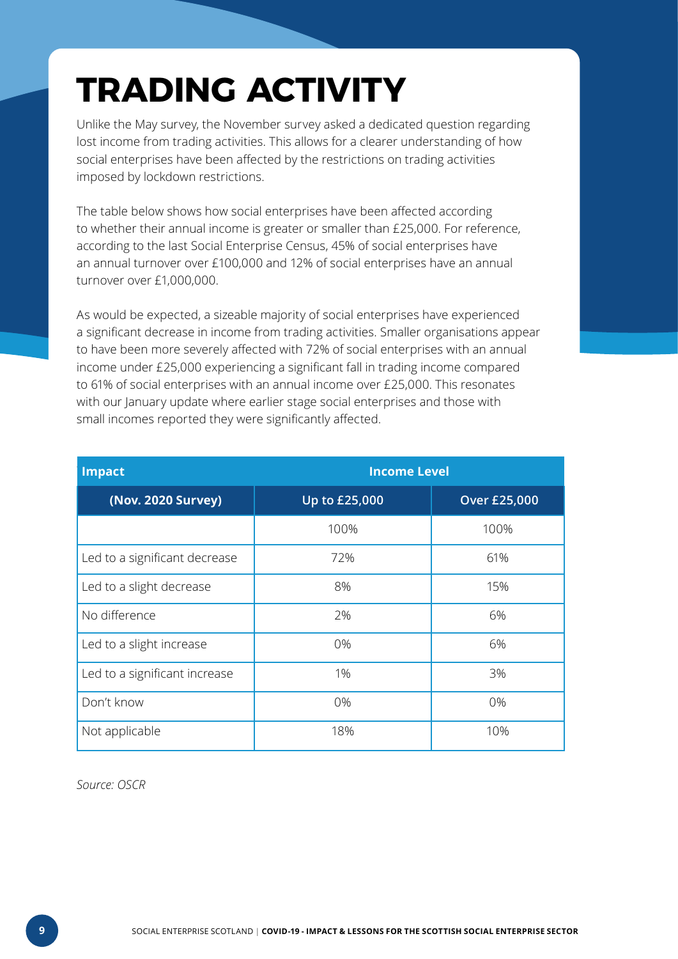## **TRADING ACTIVITY**

Unlike the May survey, the November survey asked a dedicated question regarding lost income from trading activities. This allows for a clearer understanding of how social enterprises have been affected by the restrictions on trading activities imposed by lockdown restrictions.

The table below shows how social enterprises have been affected according to whether their annual income is greater or smaller than £25,000. For reference, according to the last Social Enterprise Census, 45% of social enterprises have an annual turnover over £100,000 and 12% of social enterprises have an annual turnover over £1,000,000.

As would be expected, a sizeable majority of social enterprises have experienced a significant decrease in income from trading activities. Smaller organisations appear to have been more severely affected with 72% of social enterprises with an annual income under £25,000 experiencing a significant fall in trading income compared to 61% of social enterprises with an annual income over £25,000. This resonates with our January update where earlier stage social enterprises and those with small incomes reported they were significantly affected.

| Impact                        | <b>Income Level</b> |                     |  |  |
|-------------------------------|---------------------|---------------------|--|--|
| (Nov. 2020 Survey)            | Up to £25,000       | <b>Over £25,000</b> |  |  |
|                               | 100%                | 100%                |  |  |
| Led to a significant decrease | 72%                 | 61%                 |  |  |
| Led to a slight decrease      | 8%                  | 15%                 |  |  |
| No difference                 | 2%                  | 6%                  |  |  |
| Led to a slight increase      | 0%                  | 6%                  |  |  |
| Led to a significant increase | 1%                  | 3%                  |  |  |
| Don't know                    | 0%                  | 0%                  |  |  |
| Not applicable                | 18%                 | 10%                 |  |  |

*Source: OSCR*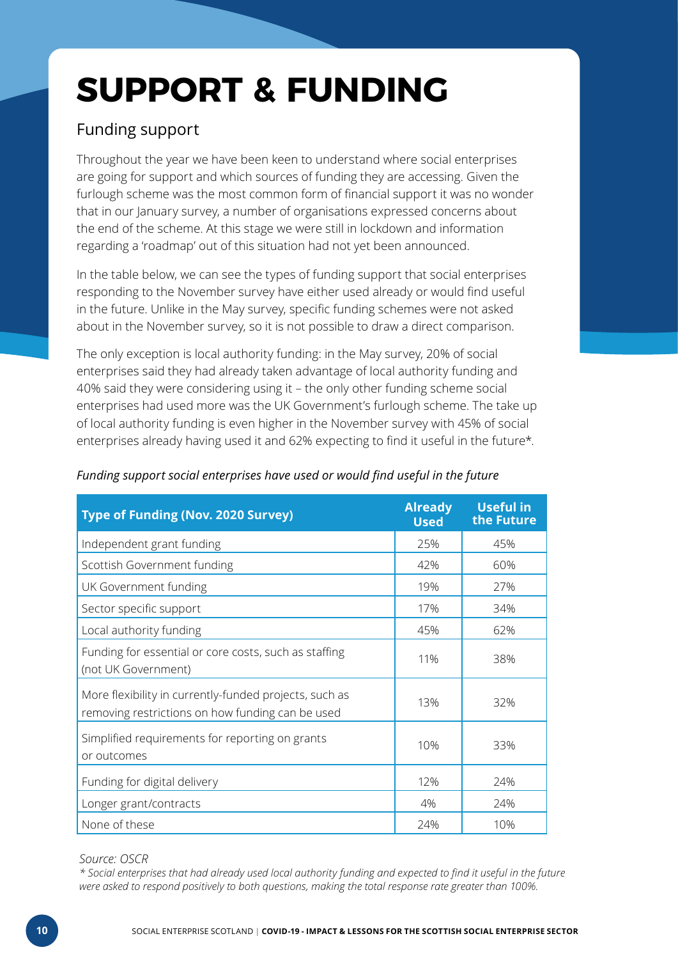## **SUPPORT & FUNDING**

### Funding support

Throughout the year we have been keen to understand where social enterprises are going for support and which sources of funding they are accessing. Given the furlough scheme was the most common form of financial support it was no wonder that in our January survey, a number of organisations expressed concerns about the end of the scheme. At this stage we were still in lockdown and information regarding a 'roadmap' out of this situation had not yet been announced.

In the table below, we can see the types of funding support that social enterprises responding to the November survey have either used already or would find useful in the future. Unlike in the May survey, specific funding schemes were not asked about in the November survey, so it is not possible to draw a direct comparison.

The only exception is local authority funding: in the May survey, 20% of social enterprises said they had already taken advantage of local authority funding and 40% said they were considering using it – the only other funding scheme social enterprises had used more was the UK Government's furlough scheme. The take up of local authority funding is even higher in the November survey with 45% of social enterprises already having used it and 62% expecting to find it useful in the future\*.

| <b>Type of Funding (Nov. 2020 Survey)</b>                                                                  | <b>Already</b><br><b>Used</b> | <b>Useful in</b><br>the Future |
|------------------------------------------------------------------------------------------------------------|-------------------------------|--------------------------------|
| Independent grant funding                                                                                  | 25%                           | 45%                            |
| Scottish Government funding                                                                                | 42%                           | 60%                            |
| UK Government funding                                                                                      | 19%                           | 27%                            |
| Sector specific support                                                                                    | 17%                           | 34%                            |
| Local authority funding                                                                                    | 45%                           | 62%                            |
| Funding for essential or core costs, such as staffing<br>(not UK Government)                               | 11%                           | 38%                            |
| More flexibility in currently-funded projects, such as<br>removing restrictions on how funding can be used | 13%                           | 32%                            |
| Simplified requirements for reporting on grants<br>or outcomes                                             | 10%                           | 33%                            |
| Funding for digital delivery                                                                               | 12%                           | 24%                            |
| Longer grant/contracts                                                                                     | 4%                            | 24%                            |
| None of these                                                                                              | 24%                           | 10%                            |

#### *Funding support social enterprises have used or would find useful in the future*

*Source: OSCR*

*\* Social enterprises that had already used local authority funding and expected to find it useful in the future were asked to respond positively to both questions, making the total response rate greater than 100%.*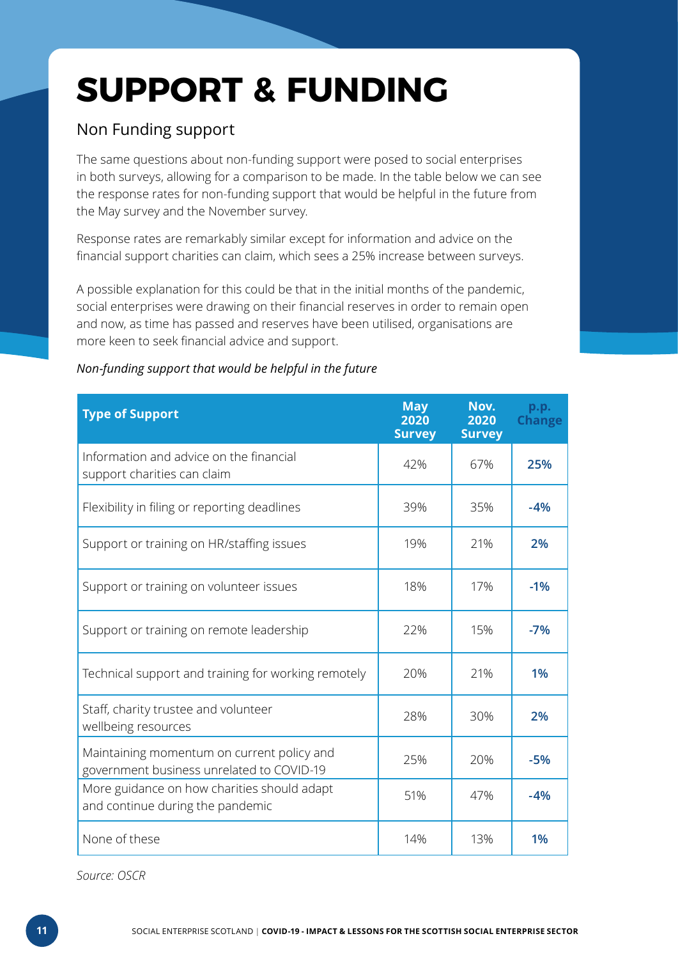## **SUPPORT & FUNDING**

### Non Funding support

The same questions about non-funding support were posed to social enterprises in both surveys, allowing for a comparison to be made. In the table below we can see the response rates for non-funding support that would be helpful in the future from the May survey and the November survey.

Response rates are remarkably similar except for information and advice on the financial support charities can claim, which sees a 25% increase between surveys.

A possible explanation for this could be that in the initial months of the pandemic, social enterprises were drawing on their financial reserves in order to remain open and now, as time has passed and reserves have been utilised, organisations are more keen to seek financial advice and support.

| <b>Type of Support</b>                                                                  | <b>May</b><br>2020<br><b>Survey</b> | Nov.<br>2020<br><b>Survey</b> | p.p.<br><b>Change</b> |
|-----------------------------------------------------------------------------------------|-------------------------------------|-------------------------------|-----------------------|
| Information and advice on the financial<br>support charities can claim                  | 42%                                 | 67%                           | 25%                   |
| Flexibility in filing or reporting deadlines                                            | 39%                                 | 35%                           | $-4%$                 |
| Support or training on HR/staffing issues                                               | 19%                                 | 21%                           | 2%                    |
| Support or training on volunteer issues                                                 | 18%                                 | 17%                           | $-1%$                 |
| Support or training on remote leadership                                                | 22%                                 | 15%                           | $-7%$                 |
| Technical support and training for working remotely                                     | 20%                                 | 21%                           | 1%                    |
| Staff, charity trustee and volunteer<br>wellbeing resources                             | 28%                                 | 30%                           | 2%                    |
| Maintaining momentum on current policy and<br>government business unrelated to COVID-19 | 25%                                 | 20%                           | $-5%$                 |
| More guidance on how charities should adapt<br>and continue during the pandemic         | 51%                                 | 47%                           | $-4%$                 |
| None of these                                                                           | 14%                                 | 13%                           | 1%                    |

#### *Non-funding support that would be helpful in the future*

*Source: OSCR*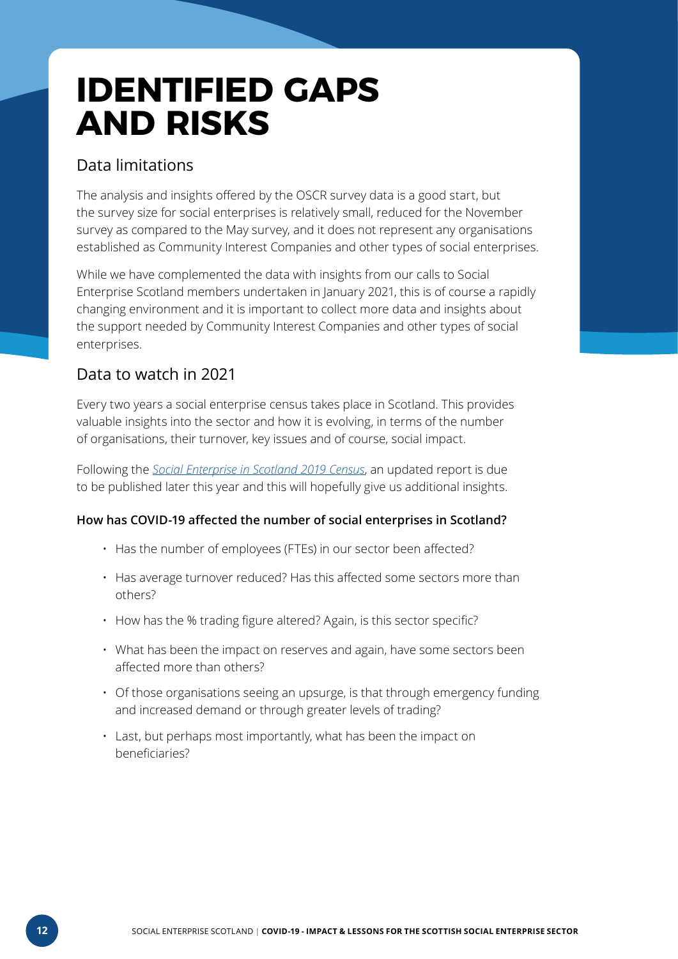### **IDENTIFIED GAPS AND RISKS**

### Data limitations

The analysis and insights offered by the OSCR survey data is a good start, but the survey size for social enterprises is relatively small, reduced for the November survey as compared to the May survey, and it does not represent any organisations established as Community Interest Companies and other types of social enterprises.

While we have complemented the data with insights from our calls to Social Enterprise Scotland members undertaken in January 2021, this is of course a rapidly changing environment and it is important to collect more data and insights about the support needed by Community Interest Companies and other types of social enterprises.

### Data to watch in 2021

Every two years a social enterprise census takes place in Scotland. This provides valuable insights into the sector and how it is evolving, in terms of the number of organisations, their turnover, key issues and of course, social impact.

Following the *[Social Enterprise in Scotland 2019 Census](https://socialenterprisecensus.org.uk/)*, an updated report is due to be published later this year and this will hopefully give us additional insights.

#### **How has COVID-19 affected the number of social enterprises in Scotland?**

- Has the number of employees (FTEs) in our sector been affected?
- Has average turnover reduced? Has this affected some sectors more than others?
- How has the % trading figure altered? Again, is this sector specific?
- What has been the impact on reserves and again, have some sectors been affected more than others?
- Of those organisations seeing an upsurge, is that through emergency funding and increased demand or through greater levels of trading?
- Last, but perhaps most importantly, what has been the impact on beneficiaries?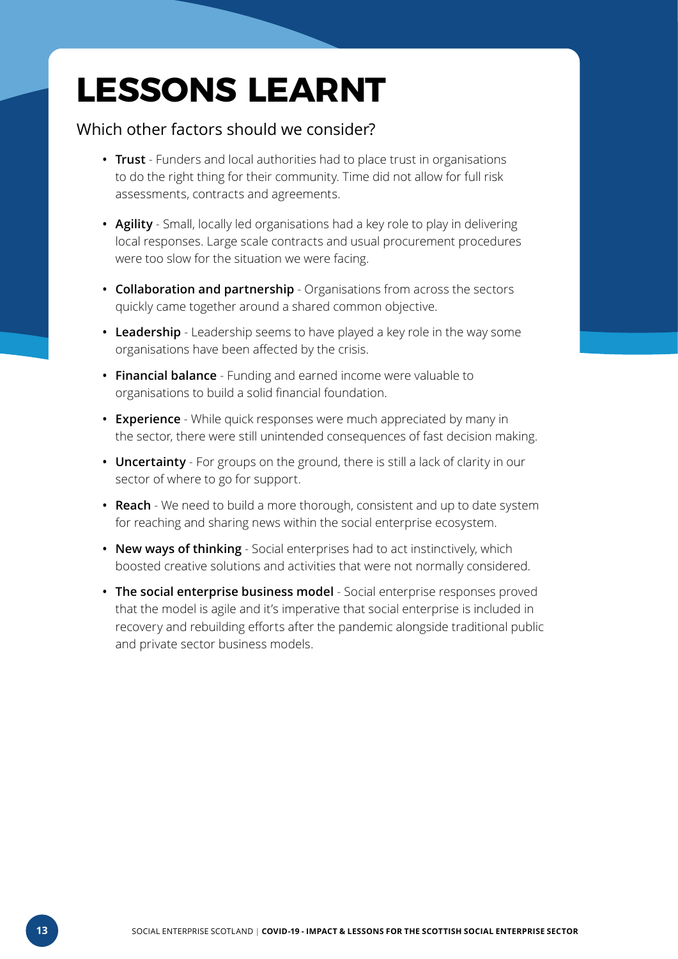## **LESSONS LEARNT**

### Which other factors should we consider?

- **• Trust** Funders and local authorities had to place trust in organisations to do the right thing for their community. Time did not allow for full risk assessments, contracts and agreements.
- **• Agility** Small, locally led organisations had a key role to play in delivering local responses. Large scale contracts and usual procurement procedures were too slow for the situation we were facing.
- **• Collaboration and partnership** Organisations from across the sectors quickly came together around a shared common objective.
- **• Leadership** Leadership seems to have played a key role in the way some organisations have been affected by the crisis.
- **• Financial balance** Funding and earned income were valuable to organisations to build a solid financial foundation.
- **• Experience** While quick responses were much appreciated by many in the sector, there were still unintended consequences of fast decision making.
- **• Uncertainty** For groups on the ground, there is still a lack of clarity in our sector of where to go for support.
- **• Reach** We need to build a more thorough, consistent and up to date system for reaching and sharing news within the social enterprise ecosystem.
- **• New ways of thinking** Social enterprises had to act instinctively, which boosted creative solutions and activities that were not normally considered.
- **• The social enterprise business model**  Social enterprise responses proved that the model is agile and it's imperative that social enterprise is included in recovery and rebuilding efforts after the pandemic alongside traditional public and private sector business models.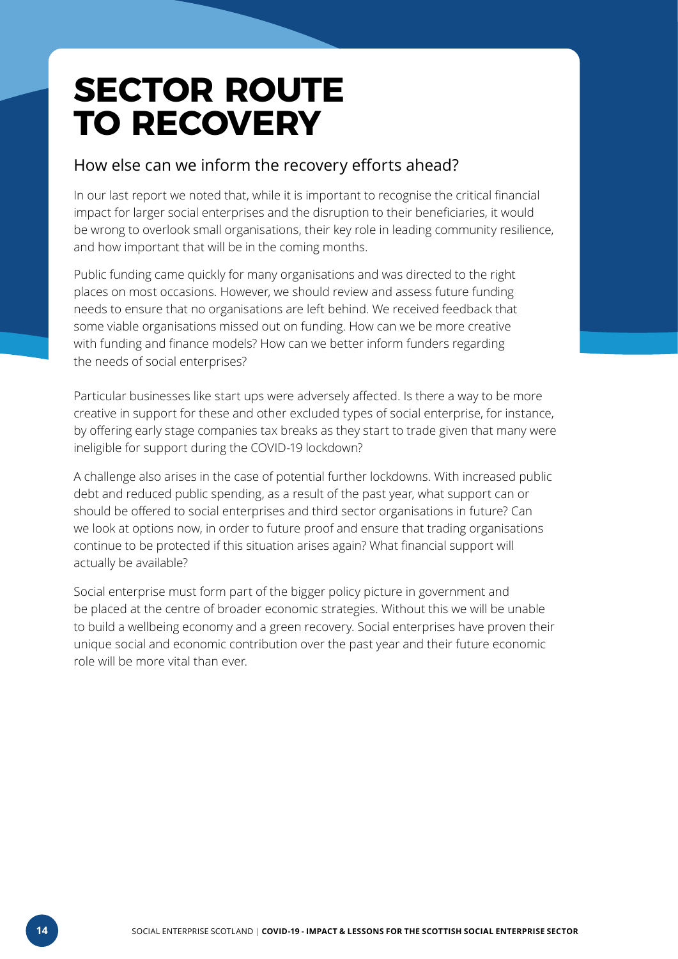### **SECTOR ROUTE TO RECOVERY**

### How else can we inform the recovery efforts ahead?

In our last report we noted that, while it is important to recognise the critical financial impact for larger social enterprises and the disruption to their beneficiaries, it would be wrong to overlook small organisations, their key role in leading community resilience, and how important that will be in the coming months.

Public funding came quickly for many organisations and was directed to the right places on most occasions. However, we should review and assess future funding needs to ensure that no organisations are left behind. We received feedback that some viable organisations missed out on funding. How can we be more creative with funding and finance models? How can we better inform funders regarding the needs of social enterprises?

Particular businesses like start ups were adversely affected. Is there a way to be more creative in support for these and other excluded types of social enterprise, for instance, by offering early stage companies tax breaks as they start to trade given that many were ineligible for support during the COVID-19 lockdown?

A challenge also arises in the case of potential further lockdowns. With increased public debt and reduced public spending, as a result of the past year, what support can or should be offered to social enterprises and third sector organisations in future? Can we look at options now, in order to future proof and ensure that trading organisations continue to be protected if this situation arises again? What financial support will actually be available?

Social enterprise must form part of the bigger policy picture in government and be placed at the centre of broader economic strategies. Without this we will be unable to build a wellbeing economy and a green recovery. Social enterprises have proven their unique social and economic contribution over the past year and their future economic role will be more vital than ever.